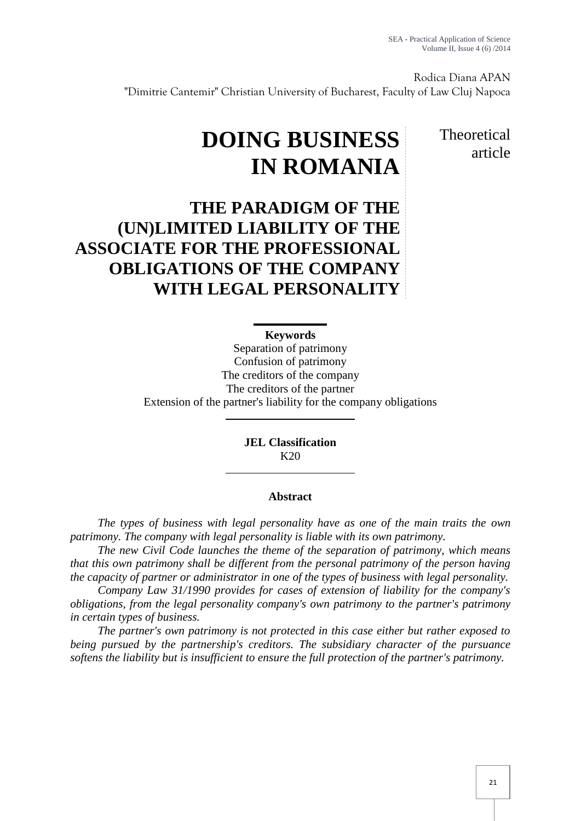Rodica Diana APAN "Dimitrie Cantemir" Christian University of Bucharest, Faculty of Law Cluj Napoca

> **Theoretical** article

# **DOING BUSINESS IN ROMANIA**

## **THE PARADIGM OF THE (UN)LIMITED LIABILITY OF THE ASSOCIATE FOR THE PROFESSIONAL OBLIGATIONS OF THE COMPANY WITH LEGAL PERSONALITY**

### **Keywords**

Separation of patrimony Confusion of patrimony The creditors of the company The creditors of the partner Extension of the partner's liability for the company obligations

> **JEL Classification** K20

#### **Abstract**

*The types of business with legal personality have as one of the main traits the own patrimony. The company with legal personality is liable with its own patrimony.*

*The new Civil Code launches the theme of the separation of patrimony, which means that this own patrimony shall be different from the personal patrimony of the person having the capacity of partner or administrator in one of the types of business with legal personality.*

*Company Law 31/1990 provides for cases of extension of liability for the company's obligations, from the legal personality company's own patrimony to the partner's patrimony in certain types of business.*

*The partner's own patrimony is not protected in this case either but rather exposed to being pursued by the partnership's creditors. The subsidiary character of the pursuance softens the liability but is insufficient to ensure the full protection of the partner's patrimony.*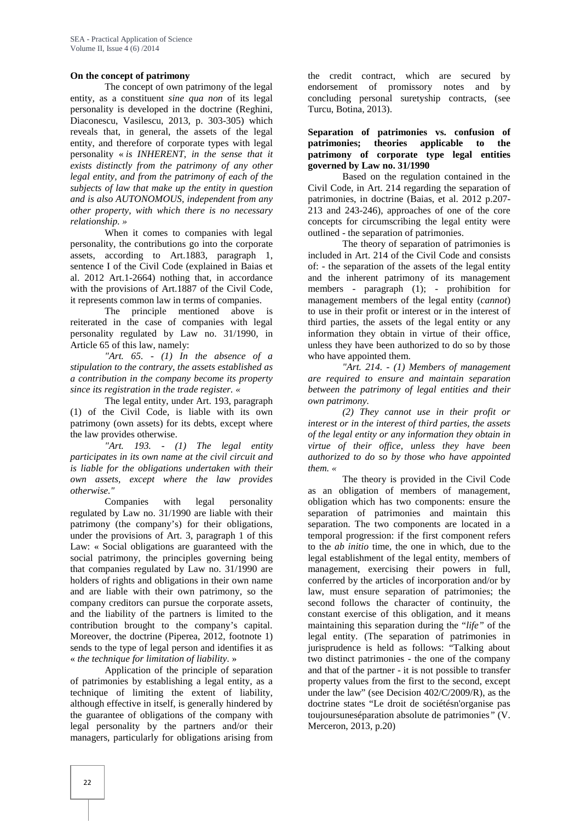#### **On the concept of patrimony**

The concept of own patrimony of the legal entity, as a constituent *sine qua non* of its legal personality is developed in the doctrine (Reghini, Diaconescu, Vasilescu, 2013, p. 303-305) which reveals that, in general, the assets of the legal entity, and therefore of corporate types with legal personality « *is INHERENT, in the sense that it exists distinctly from the patrimony of any other legal entity, and from the patrimony of each of the subjects of law that make up the entity in question and is also AUTONOMOUS, independent from any other property, with which there is no necessary relationship. »*

When it comes to companies with legal personality, the contributions go into the corporate assets, according to Art.1883, paragraph 1, sentence I of the Civil Code (explained in Baias et al. 2012 Art.1-2664) nothing that, in accordance with the provisions of Art.1887 of the Civil Code, it represents common law in terms of companies.

The principle mentioned above is reiterated in the case of companies with legal personality regulated by Law no. 31/1990, in Article 65 of this law, namely:

*"Art. 65. - (1) In the absence of a stipulation to the contrary, the assets established as a contribution in the company become its property since its registration in the trade register. «*

The legal entity, under Art. 193, paragraph (1) of the Civil Code, is liable with its own patrimony (own assets) for its debts, except where the law provides otherwise.

*"Art. 193. - (1) The legal entity participates in its own name at the civil circuit and is liable for the obligations undertaken with their own assets, except where the law provides otherwise."*

Companies with legal personality regulated by Law no. 31/1990 are liable with their patrimony (the company's) for their obligations, under the provisions of Art. 3, paragraph 1 of this Law: « Social obligations are guaranteed with the social patrimony, the principles governing being that companies regulated by Law no. 31/1990 are holders of rights and obligations in their own name and are liable with their own patrimony, so the company creditors can pursue the corporate assets, and the liability of the partners is limited to the contribution brought to the company's capital. Moreover, the doctrine (Piperea, 2012, footnote 1) sends to the type of legal person and identifies it as « *the technique for limitation of liability*. »

Application of the principle of separation of patrimonies by establishing a legal entity, as a technique of limiting the extent of liability, although effective in itself, is generally hindered by the guarantee of obligations of the company with legal personality by the partners and/or their managers, particularly for obligations arising from the credit contract, which are secured by endorsement of promissory notes and by concluding personal suretyship contracts, (see Turcu, Botina, 2013).

#### **Separation of patrimonies vs. confusion of patrimonies; theories applicable to the patrimony of corporate type legal entities governed by Law no. 31/1990**

Based on the regulation contained in the Civil Code, in Art. 214 regarding the separation of patrimonies, in doctrine (Baias, et al. 2012 p.207- 213 and 243-246), approaches of one of the core concepts for circumscribing the legal entity were outlined - the separation of patrimonies.

The theory of separation of patrimonies is included in Art. 214 of the Civil Code and consists of: - the separation of the assets of the legal entity and the inherent patrimony of its management members - paragraph (1); - prohibition for management members of the legal entity (*cannot*) to use in their profit or interest or in the interest of third parties, the assets of the legal entity or any information they obtain in virtue of their office, unless they have been authorized to do so by those who have appointed them.

*"Art. 214. - (1) Members of management are required to ensure and maintain separation between the patrimony of legal entities and their own patrimony.*

*(2) They cannot use in their profit or interest or in the interest of third parties, the assets of the legal entity or any information they obtain in virtue of their office, unless they have been authorized to do so by those who have appointed them. «*

The theory is provided in the Civil Code as an obligation of members of management, obligation which has two components: ensure the separation of patrimonies and maintain this separation. The two components are located in a temporal progression: if the first component refers to the *ab initio* time, the one in which, due to the legal establishment of the legal entity, members of management, exercising their powers in full, conferred by the articles of incorporation and/or by law, must ensure separation of patrimonies; the second follows the character of continuity, the constant exercise of this obligation, and it means maintaining this separation during the "*life"* of the legal entity. (The separation of patrimonies in jurisprudence is held as follows: "Talking about two distinct patrimonies - the one of the company and that of the partner - it is not possible to transfer property values from the first to the second, except under the law" (see Decision 402/C/2009/R), as the doctrine states "Le droit de sociétésn'organise pas toujoursuneséparation absolute de patrimonies*"* (V. Merceron, 2013, p.20)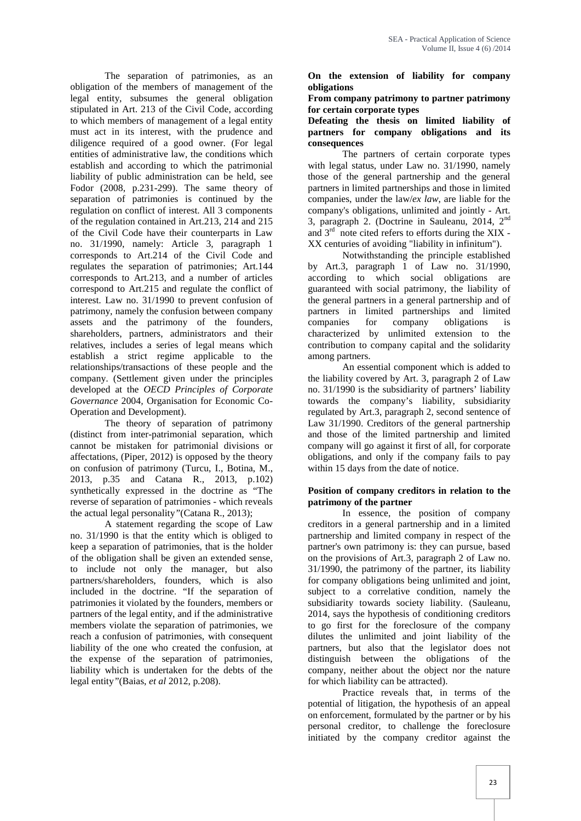The separation of patrimonies, as an obligation of the members of management of the legal entity, subsumes the general obligation stipulated in Art. 213 of the Civil Code, according to which members of management of a legal entity must act in its interest, with the prudence and diligence required of a good owner. (For legal entities of administrative law, the conditions which establish and according to which the patrimonial liability of public administration can be held, see Fodor (2008, p.231-299). The same theory of separation of patrimonies is continued by the regulation on conflict of interest. All 3 components of the regulation contained in Art.213, 214 and 215 of the Civil Code have their counterparts in Law no. 31/1990, namely: Article 3, paragraph 1 corresponds to Art.214 of the Civil Code and regulates the separation of patrimonies; Art.144 corresponds to Art.213, and a number of articles correspond to Art.215 and regulate the conflict of interest. Law no. 31/1990 to prevent confusion of patrimony, namely the confusion between company assets and the patrimony of the founders, shareholders, partners, administrators and their relatives, includes a series of legal means which establish a strict regime applicable to the relationships/transactions of these people and the company. (Settlement given under the principles developed at the *OECD Principles of Corporate Governance* 2004*,* Organisation for Economic Co- Operation and Development).

The theory of separation of patrimony (distinct from inter-patrimonial separation, which cannot be mistaken for patrimonial divisions or affectations, (Piper, 2012) is opposed by the theory on confusion of patrimony (Turcu, I., Botina, M., 2013, p.35 and Catana R., 2013, p.102) synthetically expressed in the doctrine as "The reverse of separation of patrimonies - which reveals the actual legal personality*"*(Catana R., 2013);

A statement regarding the scope of Law no. 31/1990 is that the entity which is obliged to keep a separation of patrimonies, that is the holder of the obligation shall be given an extended sense, to include not only the manager, but also partners/shareholders, founders, which is also included in the doctrine. "If the separation of patrimonies it violated by the founders, members or partners of the legal entity, and if the administrative members violate the separation of patrimonies, we reach a confusion of patrimonies, with consequent liability of the one who created the confusion, at the expense of the separation of patrimonies, liability which is undertaken for the debts of the legal entity*"*(Baias, *et al* 2012, p*.*208).

**On the extension of liability for company obligations**

#### **From company patrimony to partner patrimony for certain corporate types**

**Defeating the thesis on limited liability of partners for company obligations and its consequences**

The partners of certain corporate types with legal status, under Law no. 31/1990, namely those of the general partnership and the general partners in limited partnerships and those in limited companies, under the law/*ex law*, are liable for the company's obligations, unlimited and jointly - Art. 3, paragraph 2. (Doctrine in Sauleanu, 2014, 2nd and 3rd note cited refers to efforts during the XIX - XX centuries of avoiding "liability in infinitum").

Notwithstanding the principle established by Art.3, paragraph 1 of Law no. 31/1990, according to which social obligations are guaranteed with social patrimony, the liability of the general partners in a general partnership and of partners in limited partnerships and limited companies for company obligations is characterized by unlimited extension to the contribution to company capital and the solidarity among partners.

An essential component which is added to the liability covered by Art. 3, paragraph 2 of Law no. 31/1990 is the subsidiarity of partners' liability towards the company's liability, subsidiarity regulated by Art.3, paragraph 2, second sentence of Law 31/1990. Creditors of the general partnership and those of the limited partnership and limited company will go against it first of all, for corporate obligations, and only if the company fails to pay within 15 days from the date of notice.

#### **Position of company creditors in relation to the patrimony of the partner**

In essence, the position of company creditors in a general partnership and in a limited partnership and limited company in respect of the partner's own patrimony is: they can pursue, based on the provisions of Art.3, paragraph 2 of Law no. 31/1990, the patrimony of the partner, its liability for company obligations being unlimited and joint, subject to a correlative condition, namely the subsidiarity towards society liability. (Sauleanu, 2014, says the hypothesis of conditioning creditors to go first for the foreclosure of the company dilutes the unlimited and joint liability of the partners, but also that the legislator does not distinguish between the obligations of the company, neither about the object nor the nature for which liability can be attracted).

Practice reveals that, in terms of the potential of litigation, the hypothesis of an appeal on enforcement, formulated by the partner or by his personal creditor, to challenge the foreclosure initiated by the company creditor against the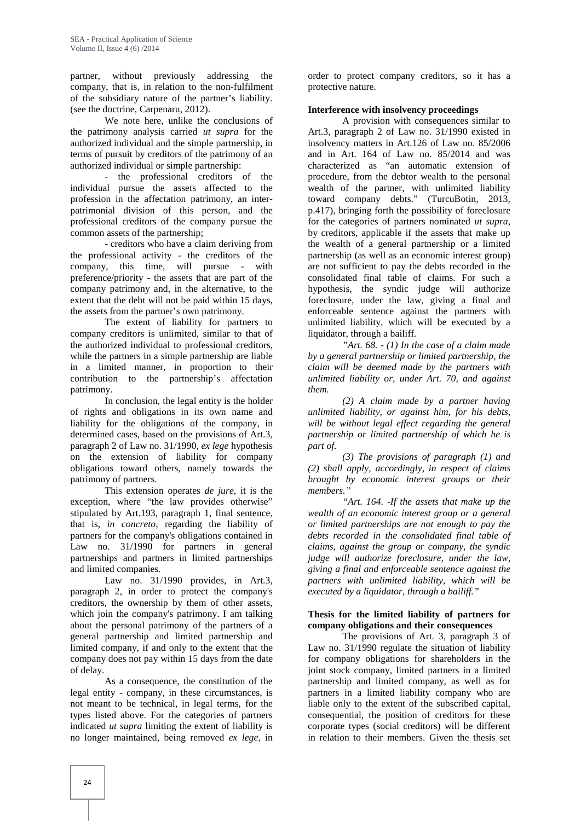partner, without previously addressing the company, that is, in relation to the non-fulfilment of the subsidiary nature of the partner's liability. (see the doctrine, Carpenaru, 2012).

We note here, unlike the conclusions of the patrimony analysis carried *ut supra* for the authorized individual and the simple partnership, in terms of pursuit by creditors of the patrimony of an authorized individual or simple partnership:

- the professional creditors of the individual pursue the assets affected to the profession in the affectation patrimony, an inter patrimonial division of this person, and the professional creditors of the company pursue the common assets of the partnership;

- creditors who have a claim deriving from the professional activity - the creditors of the company, this time, will pursue - with preference/priority - the assets that are part of the company patrimony and, in the alternative, to the extent that the debt will not be paid within 15 days, the assets from the partner's own patrimony.

The extent of liability for partners to company creditors is unlimited, similar to that of the authorized individual to professional creditors, while the partners in a simple partnership are liable in a limited manner, in proportion to their contribution to the partnership's affectation patrimony.

In conclusion, the legal entity is the holder of rights and obligations in its own name and liability for the obligations of the company, in determined cases, based on the provisions of Art.3, paragraph 2 of Law no. 31/1990, *ex lege* hypothesis on the extension of liability for company obligations toward others, namely towards the patrimony of partners.

This extension operates *de jure*, it is the exception, where "the law provides otherwise" stipulated by Art.193, paragraph 1, final sentence, that is, *in concreto*, regarding the liability of partners for the company's obligations contained in Law no. 31/1990 for partners in general partnerships and partners in limited partnerships and limited companies.

Law no. 31/1990 provides, in Art.3, paragraph 2, in order to protect the company's creditors, the ownership by them of other assets, which join the company's patrimony. I am talking about the personal patrimony of the partners of a general partnership and limited partnership and limited company, if and only to the extent that the company does not pay within 15 days from the date of delay.

As a consequence, the constitution of the legal entity - company, in these circumstances, is not meant to be technical, in legal terms, for the types listed above. For the categories of partners indicated *ut supra* limiting the extent of liability is no longer maintained, being removed *ex lege*, in

order to protect company creditors, so it has a protective nature.

#### **Interference with insolvency proceedings**

A provision with consequences similar to Art.3, paragraph 2 of Law no. 31/1990 existed in insolvency matters in Art.126 of Law no. 85/2006 and in Art. 164 of Law no. 85/2014 and was characterized as "an automatic extension of procedure, from the debtor wealth to the personal wealth of the partner, with unlimited liability toward company debts." (TurcuBotin, 2013, p.417), bringing forth the possibility of foreclosure for the categories of partners nominated *ut supra*, by creditors, applicable if the assets that make up the wealth of a general partnership or a limited partnership (as well as an economic interest group) are not sufficient to pay the debts recorded in the consolidated final table of claims. For such a hypothesis, the syndic judge will authorize foreclosure, under the law, giving a final and enforceable sentence against the partners with unlimited liability, which will be executed by a liquidator, through a bailiff.

*"Art. 68. - (1) In the case of a claim made by a general partnership or limited partnership, the claim will be deemed made by the partners with unlimited liability or, under Art. 70, and against them.*

*(2) A claim made by a partner having unlimited liability, or against him, for his debts, will be without legal effect regarding the general partnership or limited partnership of which he is part of.*

*(3) The provisions of paragraph (1) and (2) shall apply, accordingly, in respect of claims brought by economic interest groups or their members."*

*"Art. 164. -If the assets that make up the wealth of an economic interest group or a general or limited partnerships are not enough to pay the debts recorded in the consolidated final table of claims, against the group or company, the syndic judge will authorize foreclosure, under the law, giving a final and enforceable sentence against the partners with unlimited liability, which will be executed by a liquidator, through a bailiff."*

#### **Thesis for the limited liability of partners for company obligations and their consequences**

The provisions of Art. 3, paragraph 3 of Law no. 31/1990 regulate the situation of liability for company obligations for shareholders in the joint stock company, limited partners in a limited partnership and limited company, as well as for partners in a limited liability company who are liable only to the extent of the subscribed capital, consequential, the position of creditors for these corporate types (social creditors) will be different in relation to their members. Given the thesis set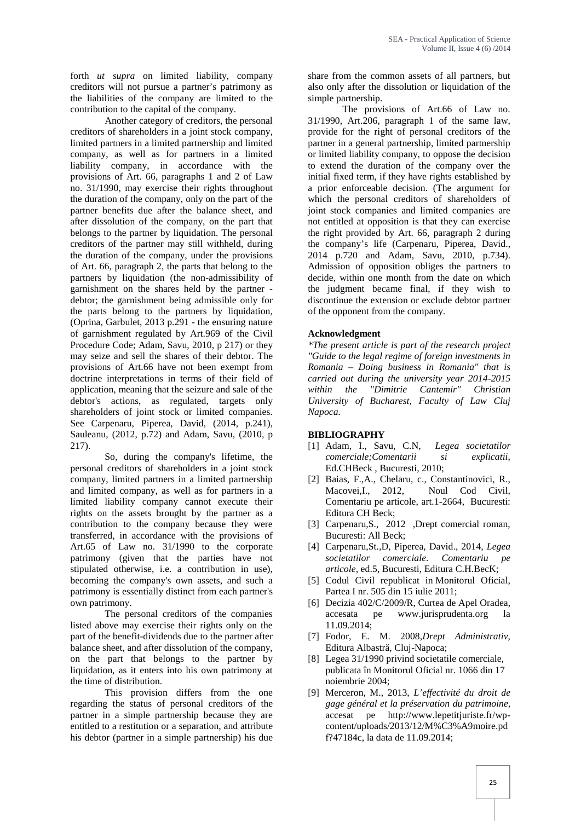forth *ut supra* on limited liability, company creditors will not pursue a partner's patrimony as the liabilities of the company are limited to the contribution to the capital of the company.

Another category of creditors, the personal creditors of shareholders in a joint stock company, limited partners in a limited partnership and limited company, as well as for partners in a limited liability company, in accordance with the provisions of Art. 66, paragraphs 1 and 2 of Law no. 31/1990, may exercise their rights throughout the duration of the company, only on the part of the partner benefits due after the balance sheet, and after dissolution of the company, on the part that belongs to the partner by liquidation. The personal creditors of the partner may still withheld, during the duration of the company, under the provisions of Art. 66, paragraph 2, the parts that belong to the partners by liquidation (the non-admissibility of garnishment on the shares held by the partner debtor; the garnishment being admissible only for the parts belong to the partners by liquidation, (Oprina, Garbulet, 2013 p.291 - the ensuring nature of garnishment regulated by Art.969 of the Civil Procedure Code; Adam, Savu, 2010, p 217) or they may seize and sell the shares of their debtor. The provisions of Art.66 have not been exempt from doctrine interpretations in terms of their field of application, meaning that the seizure and sale of the debtor's actions, as regulated, targets only shareholders of joint stock or limited companies. See Carpenaru, Piperea, David, (2014, p.241), Sauleanu, (2012, p.72) and Adam, Savu, (2010, p 217).

So, during the company's lifetime, the personal creditors of shareholders in a joint stock company, limited partners in a limited partnership and limited company, as well as for partners in a limited liability company cannot execute their rights on the assets brought by the partner as a contribution to the company because they were transferred, in accordance with the provisions of Art.65 of Law no. 31/1990 to the corporate patrimony (given that the parties have not stipulated otherwise, i.e. a contribution in use), becoming the company's own assets, and such a patrimony is essentially distinct from each partner's own patrimony.

The personal creditors of the companies listed above may exercise their rights only on the part of the benefit-dividends due to the partner after balance sheet, and after dissolution of the company, on the part that belongs to the partner by liquidation, as it enters into his own patrimony at the time of distribution.

This provision differs from the one regarding the status of personal creditors of the partner in a simple partnership because they are entitled to a restitution or a separation, and attribute his debtor (partner in a simple partnership) his due

share from the common assets of all partners, but also only after the dissolution or liquidation of the simple partnership.

The provisions of Art.66 of Law no. 31/1990, Art.206, paragraph 1 of the same law, provide for the right of personal creditors of the partner in a general partnership, limited partnership or limited liability company, to oppose the decision to extend the duration of the company over the initial fixed term, if they have rights established by a prior enforceable decision. (The argument for which the personal creditors of shareholders of joint stock companies and limited companies are not entitled at opposition is that they can exercise the right provided by Art. 66, paragraph 2 during the company's life (Carpenaru, Piperea, David., 2014 p.720 and Adam, Savu, 2010, p.734). Admission of opposition obliges the partners to decide, within one month from the date on which the judgment became final, if they wish to discontinue the extension or exclude debtor partner of the opponent from the company.

#### **Acknowledgment**

*\*The present article is part of the research project "Guide to the legal regime of foreign investments in Romania – Doing business in Romania" that is carried out during the university year 2014-2015* within the "Dimitrie Cantemir" *University of Bucharest, Faculty of Law Cluj Napoca.*

#### **BIBLIOGRAPHY**

- [1] Adam, I., Savu, C.N, *Legea societatilor comerciale;Comentarii si explicatii*, Ed.CHBeck , Bucuresti, 2010;
- [2] Baias, F.,A., Chelaru, c., Constantinovici, R., Macovei,I., 2012, Noul Cod Civil, Comentariu pe articole, art.1-2664, Bucuresti: Editura CH Beck;
- [3] Carpenaru, S., 2012 , Drept comercial roman, Bucuresti: All Beck;
- [4] Carpenaru,St.,D, Piperea, David., 2014, *Legea societatilor comerciale. Comentariu pe articole,* ed.5, Bucuresti, Editura C.H.BecK;
- [5] Codul Civil republicat in Monitorul Oficial, Partea I nr. 505 din 15 iulie 2011;
- [6] Decizia 402/C/2009/R, Curtea de Apel Oradea, accesata pe www.jurisprudenta.org la 11.09.2014;
- [7] Fodor, E. M. 2008,*Drept Administrativ*, Editura Albastr, Cluj-Napoca;
- [8] Legea 31/1990 privind societatile comerciale, publicata în Monitorul Oficial nr. 1066 din 17 noiembrie 2004;
- [9] Merceron, M., 2013, *L'effectivité du droit de gage général et la préservation du patrimoine,* accesat pe http://www.lepetitjuriste.fr/wp content/uploads/2013/12/M%C3%A9moire.pd f?47184c, la data de 11.09.2014;